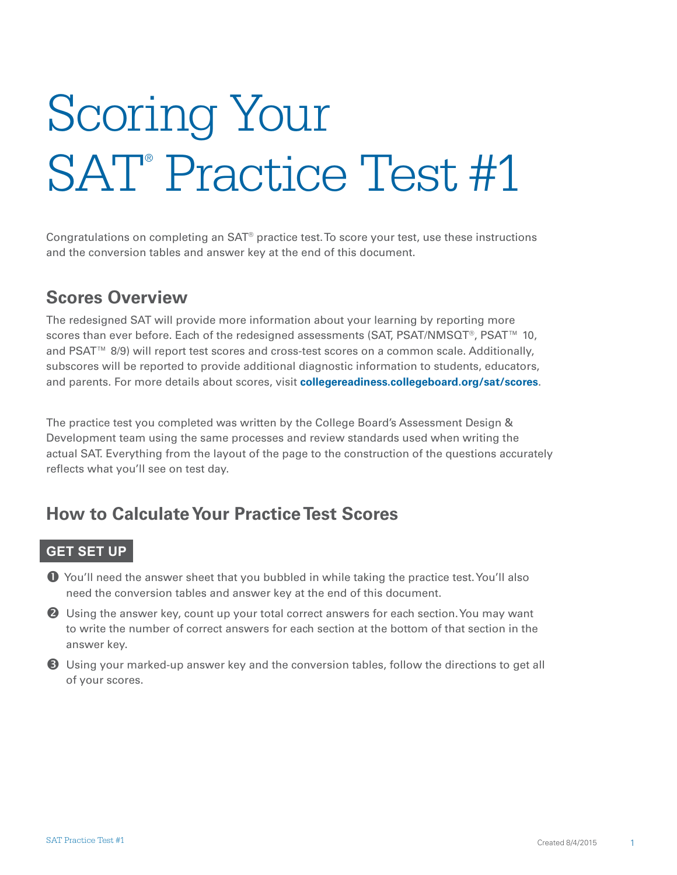# Scoring Your SAT® Practice Test #1

Congratulations on completing an SAT® practice test. To score your test, use these instructions and the conversion tables and answer key at the end of this document.

#### **Scores Overview**

The redesigned SAT will provide more information about your learning by reporting more scores than ever before. Each of the redesigned assessments (SAT, PSAT/NMSQT®, PSAT™ 10, and PSAT™ 8/9) will report test scores and cross-test scores on a common scale. Additionally, subscores will be reported to provide additional diagnostic information to students, educators, and parents. For more details about scores, visit **[collegereadiness.collegeboard.org/sat/scores](https://collegereadiness.collegeboard.org/sat/scores)**.

The practice test you completed was written by the College Board's Assessment Design & Development team using the same processes and review standards used when writing the actual SAT. Everything from the layout of the page to the construction of the questions accurately reflects what you'll see on test day.

#### **How to Calculate Your Practice Test Scores**

#### **GET SET UP**

 You'll need the answer sheet that you bubbled in while taking the practice test. You'll also need the conversion tables and answer key at the end of this document.

**2** Using the answer key, count up your total correct answers for each section. You may want to write the number of correct answers for each section at the bottom of that section in the answer key.

 Using your marked-up answer key and the conversion tables, follow the directions to get all of your scores.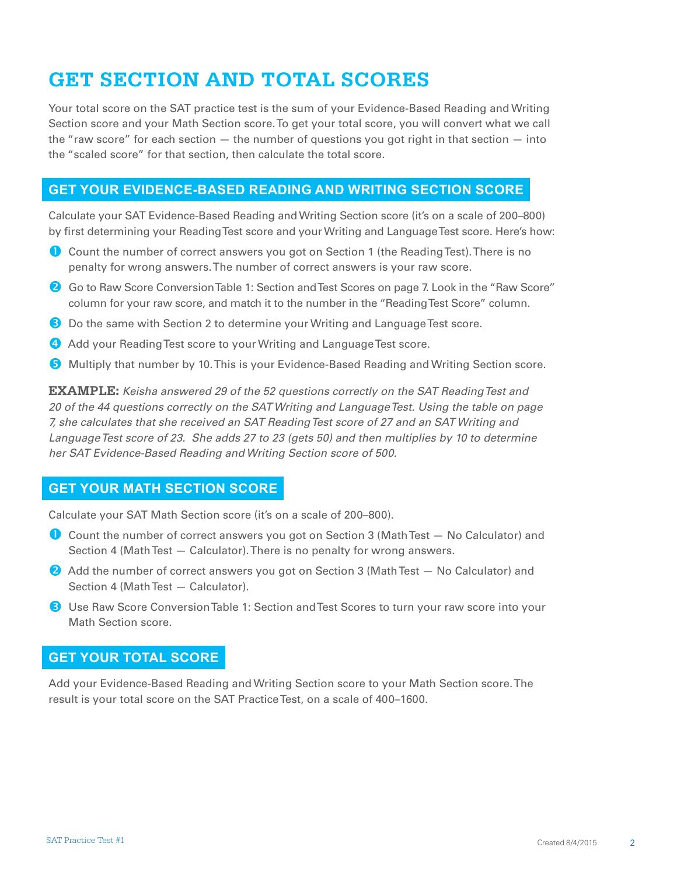### **GET SECTION AND TOTAL SCORES**

Your total score on the SAT practice test is the sum of your Evidence-Based Reading and Writing Section score and your Math Section score. To get your total score, you will convert what we call the "raw score" for each section — the number of questions you got right in that section — into the "scaled score" for that section, then calculate the total score.

#### **GET YOUR EVIDENCE-BASED READING AND WRITING SECTION SCORE**

Calculate your SAT Evidence-Based Reading and Writing Section score (it's on a scale of 200–800) by first determining your Reading Test score and your Writing and Language Test score. Here's how:

- Count the number of correct answers you got on Section 1 (the Reading Test). There is no penalty for wrong answers. The number of correct answers is your raw score.
- <sup>2</sup> Go to Raw Score Conversion Table 1: Section and Test Scores on page 7. Look in the "Raw Score" column for your raw score, and match it to the number in the "Reading Test Score" column.
- **B** Do the same with Section 2 to determine your Writing and Language Test score.
- **Add your Reading Test score to your Writing and Language Test score.**
- **G** Multiply that number by 10. This is your Evidence-Based Reading and Writing Section score.

**EXAMPLE:** *Keisha answered 29 of the 52 questions correctly on the SAT Reading Test and 20 of the 44 questions correctly on the SAT Writing and Language Test. Using the table on page 7, she calculates that she received an SAT Reading Test score of 27 and an SAT Writing and*  Language Test score of 23. She adds 27 to 23 (gets 50) and then multiplies by 10 to determine *her SAT Evidence-Based Reading and Writing Section score of 500.* 

#### **GET YOUR MATH SECTION SCORE**

Calculate your SAT Math Section score (it's on a scale of 200–800).

- Count the number of correct answers you got on Section 3 (Math Test No Calculator) and Section 4 (Math Test — Calculator). There is no penalty for wrong answers.
- **2** Add the number of correct answers you got on Section 3 (Math Test No Calculator) and Section 4 (Math Test — Calculator).
- **B** Use Raw Score Conversion Table 1: Section and Test Scores to turn your raw score into your Math Section score.

#### **GET YOUR TOTAL SCORE**

Add your Evidence-Based Reading and Writing Section score to your Math Section score. The result is your total score on the SAT Practice Test, on a scale of 400–1600.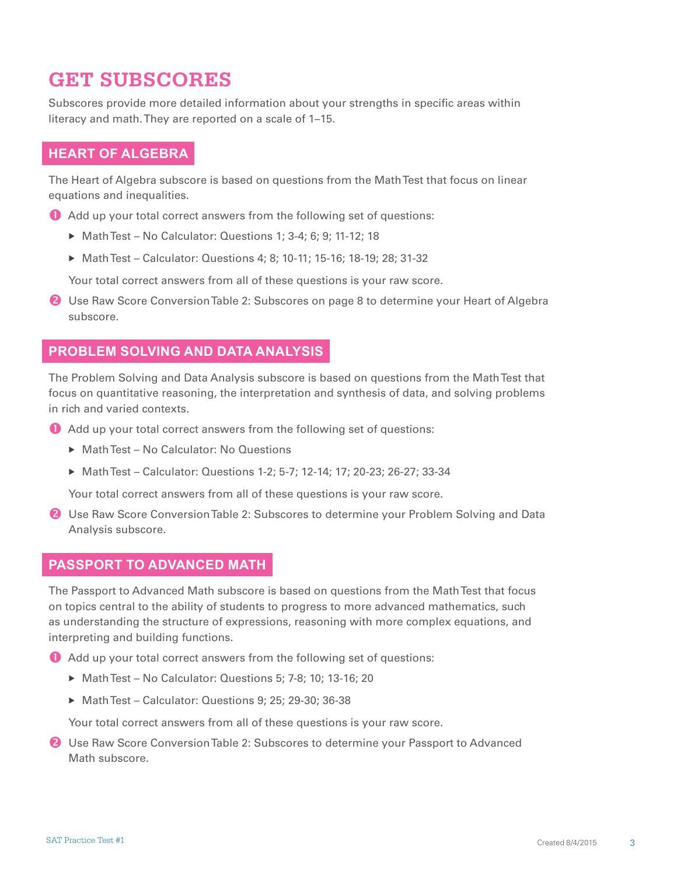#### **GET SUBSCORES**

Subscores provide more detailed information about your strengths in specific areas within literacy and math. They are reported on a scale of 1–15.

#### **HEART OF ALGEBRA**

The Heart of Algebra subscore is based on questions from the Math Test that focus on linear equations and inequalities.

- Add up your total correct answers from the following set of questions:
	- ▶ Math Test No Calculator: Questions 1; 3-4; 6; 9; 11-12; 18
	- ▶ Math Test Calculator: Questions 4; 8; 10-11; 15-16; 18-19; 28; 31-32

Your total correct answers from all of these questions is your raw score.

**2** Use Raw Score Conversion Table 2: Subscores on page 8 to determine your Heart of Algebra subscore.

#### **PROBLEM SOLVING AND DATA ANALYSIS**

The Problem Solving and Data Analysis subscore is based on questions from the Math Test that focus on quantitative reasoning, the interpretation and synthesis of data, and solving problems in rich and varied contexts.

- Add up your total correct answers from the following set of questions:
	- ▶ Math Test No Calculator: No Questions
	- ▶ Math Test Calculator: Questions 1-2; 5-7; 12-14; 17; 20-23; 26-27; 33-34

Your total correct answers from all of these questions is your raw score.

**2** Use Raw Score Conversion Table 2: Subscores to determine your Problem Solving and Data Analysis subscore.

#### **PASSPORT TO ADVANCED MATH**

The Passport to Advanced Math subscore is based on questions from the Math Test that focus on topics central to the ability of students to progress to more advanced mathematics, such as understanding the structure of expressions, reasoning with more complex equations, and interpreting and building functions.

Add up your total correct answers from the following set of questions:

- ▶ Math Test No Calculator: Questions 5; 7-8; 10; 13-16; 20
- ▶ Math Test Calculator: Questions 9: 25: 29-30: 36-38

Your total correct answers from all of these questions is your raw score.

**2** Use Raw Score Conversion Table 2: Subscores to determine your Passport to Advanced Math subscore.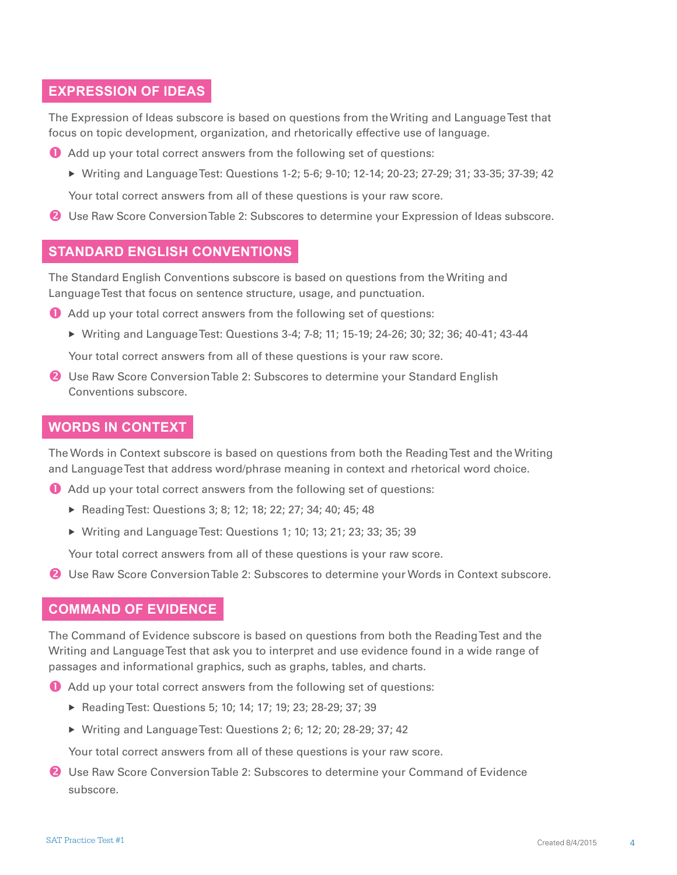#### **EXPRESSION OF IDEAS**

The Expression of Ideas subscore is based on questions from the Writing and Language Test that focus on topic development, organization, and rhetorically effective use of language.

- Add up your total correct answers from the following set of questions:
	- Writing and Language Test: Questions 1-2; 5-6; 9-10; 12-14; 20-23; 27-29; 31; 33-35; 37-39; 42

Your total correct answers from all of these questions is your raw score.

**2** Use Raw Score Conversion Table 2: Subscores to determine your Expression of Ideas subscore.

#### **STANDARD ENGLISH CONVENTIONS**

The Standard English Conventions subscore is based on questions from the Writing and Language Test that focus on sentence structure, usage, and punctuation.

- Add up your total correct answers from the following set of questions:
	- Writing and Language Test: Questions 3-4; 7-8; 11; 15-19; 24-26; 30; 32; 36; 40-41; 43-44

Your total correct answers from all of these questions is your raw score.

**2** Use Raw Score Conversion Table 2: Subscores to determine your Standard English Conventions subscore.

#### **WORDS IN CONTEXT**

The Words in Context subscore is based on questions from both the Reading Test and the Writing and Language Test that address word/phrase meaning in context and rhetorical word choice.

- Add up your total correct answers from the following set of questions:
	- ▶ Reading Test: Questions 3; 8; 12; 18; 22; 27; 34; 40; 45; 48
	- Writing and Language Test: Questions 1; 10; 13; 21; 23; 33; 35; 39

Your total correct answers from all of these questions is your raw score.

**2** Use Raw Score Conversion Table 2: Subscores to determine your Words in Context subscore.

#### **COMMAND OF EVIDENCE**

The Command of Evidence subscore is based on questions from both the Reading Test and the Writing and Language Test that ask you to interpret and use evidence found in a wide range of passages and informational graphics, such as graphs, tables, and charts.

- Add up your total correct answers from the following set of questions:
	- ▶ Reading Test: Questions 5; 10; 14; 17; 19; 23; 28-29; 37; 39
	- Writing and Language Test: Questions 2; 6; 12; 20; 28-29; 37; 42

Your total correct answers from all of these questions is your raw score.

**2** Use Raw Score Conversion Table 2: Subscores to determine your Command of Evidence subscore.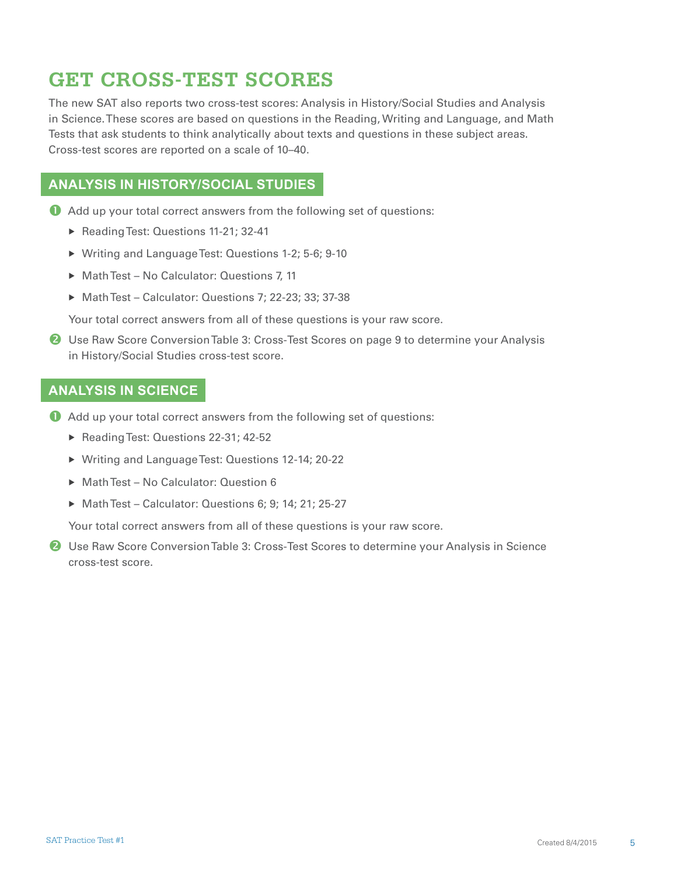### **GET CROSS-TEST SCORES**

The new SAT also reports two cross-test scores: Analysis in History/Social Studies and Analysis in Science. These scores are based on questions in the Reading, Writing and Language, and Math Tests that ask students to think analytically about texts and questions in these subject areas. Cross-test scores are reported on a scale of 10–40.

#### **ANALYSIS IN HISTORY/SOCIAL STUDIES**

- Add up your total correct answers from the following set of questions:
	- Reading Test: Questions 11-21; 32-41
	- Writing and Language Test: Questions 1-2; 5-6; 9-10
	- ▶ Math Test No Calculator: Questions 7, 11
	- ▶ Math Test Calculator: Questions 7; 22-23; 33; 37-38

Your total correct answers from all of these questions is your raw score.

**2** Use Raw Score Conversion Table 3: Cross-Test Scores on page 9 to determine your Analysis in History/Social Studies cross-test score.

#### **ANALYSIS IN SCIENCE**

- Add up your total correct answers from the following set of questions:
	- Reading Test: Questions 22-31; 42-52
	- Writing and Language Test: Questions 12-14; 20-22
	- ▶ Math Test No Calculator: Question 6
	- ▶ Math Test Calculator: Questions 6; 9; 14; 21; 25-27

Your total correct answers from all of these questions is your raw score.

**2** Use Raw Score Conversion Table 3: Cross-Test Scores to determine your Analysis in Science cross-test score.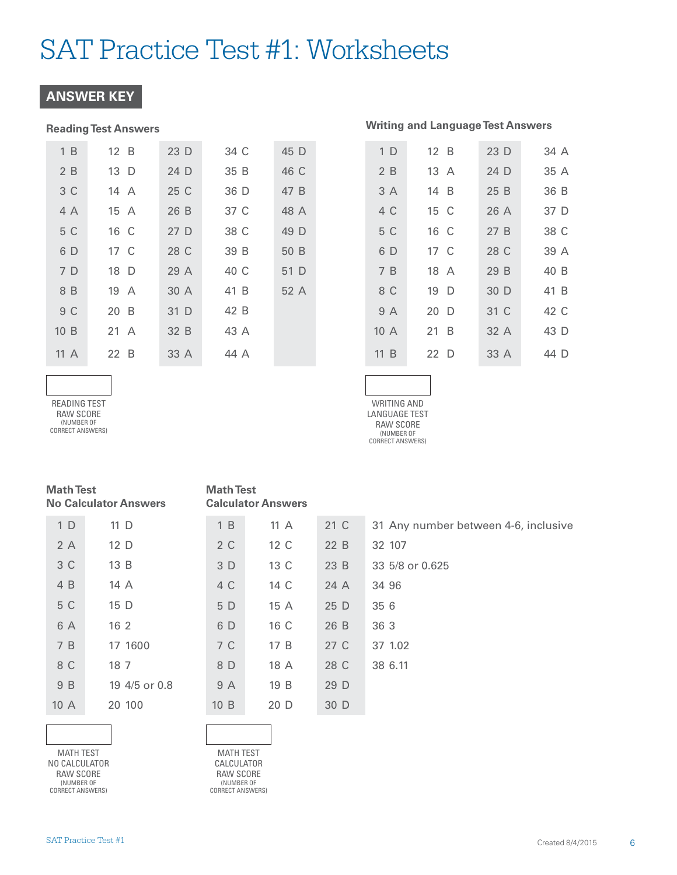#### **ANSWER KEY**

#### **Reading Test Answers**

| 1B   | 12 B | 23D  | 34 C | 45 D |
|------|------|------|------|------|
| 2B   | 13 D | 24 D | 35 B | 46 C |
| 3 C  | 14 A | 25 C | 36 D | 47 B |
| 4 A  | 15 A | 26 B | 37 C | 48 A |
| 5 C  | 16 C | 27 D | 38 C | 49 D |
| 6 D  | 17 C | 28 C | 39 B | 50 B |
| 7 D  | 18 D | 29A  | 40 C | 51 D |
| 8 B  | 19 A | 30A  | 41 B | 52 A |
| 9 C  | 20 B | 31 D | 42 B |      |
| 10 B | 21 A | 32 B | 43 A |      |
| 11A  | 22 B | 33 A | 44 A |      |

| 1 <sub>D</sub> | 12 B           | 23 D | 34 A |
|----------------|----------------|------|------|
| 2B             | $13 \text{ A}$ | 24 D | 35 A |
| 3 A            | 14 B           | 25B  | 36 B |
| 4 C            | 15 C           | 26 A | 37 D |
| 5 C            | 16 C           | 27B  | 38 C |
| 6 D            | 17 C           | 28 C | 39 A |
| 7 B            | 18 A           | 29 B | 40 B |
| 8 C            | 19 D           | 30 D | 41 B |
| 9 A            | 20 D           | 31 C | 42 C |
| 10A            | 21 B           | 32 A | 43 D |
| 11 B           | 22 D           | 33 A | 44 D |
|                |                |      |      |

**Writing and Language Test Answers** 

READING TEST RAW SCORE (NUMBER OF CORRECT ANSWERS)

| WRITING AND             |
|-------------------------|
| I ANGUAGF TFST          |
| RAW SCORF               |
| (NUMBER OF              |
| <b>CORRECT ANSWERS)</b> |

| <b>Math Test</b>             |
|------------------------------|
| <b>No Calculator Answers</b> |

**Math Test Calculator Answers** 

> 11 A 12 C 13 C 14 C 15 A 16 C 17 B 18 A 19 B 20 D

1 B 2 C 3 D 4 C 5 D 6 D

| 1 D  | 11 D            |
|------|-----------------|
| 2A   | 12 D            |
| 3C   | 13B             |
| 4 B  | 14 A            |
| 5 C  | 15 D            |
| 6 A  | 16 <sub>2</sub> |
| 7 B  | 17 1600         |
| 8 C  | 18 7            |
| 9 B  | 19 4/5 or 0     |
| 10 A | 20 100          |

|    | 7 C  |  |
|----|------|--|
|    | 8 D  |  |
| .8 | 9 A  |  |
|    | 10 B |  |
|    |      |  |

| 21 C | 31 Any number between 4-6, inclusive |
|------|--------------------------------------|
| 22 B | 32 107                               |
| 23B  | 33 5/8 or 0.625                      |
| 24 A | 34 96                                |
| 25 D | 35 6                                 |
| 26 B | 36 3                                 |
| 27 C | 37 1.02                              |
| 28 C | 38 6.11                              |
| 29 D |                                      |
| 30 D |                                      |

MATH TEST NO CALCULATOR RAW SCORE (NUMBER OF CORRECT ANSWERS)

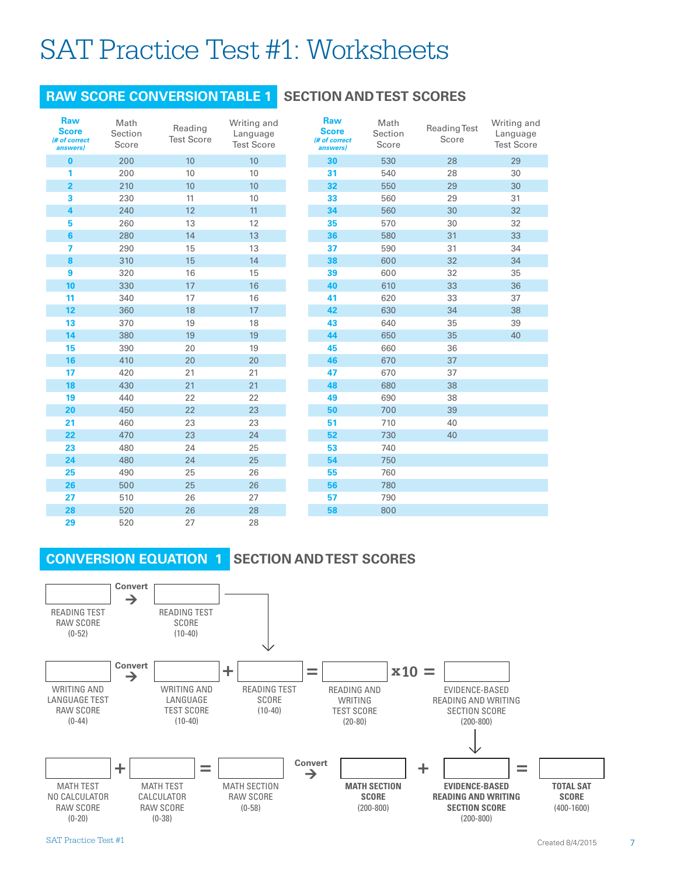#### **RAW SCORE CONVERSION TABLE 1**

#### **SECTION AND TEST SCORES**

|                                                         |                          | <b>RAW SCORE CONVERSION TABLE 1</b> |                                              | <b>SECTION AND TEST SCORES</b>                          |                          |                       |                                     |
|---------------------------------------------------------|--------------------------|-------------------------------------|----------------------------------------------|---------------------------------------------------------|--------------------------|-----------------------|-------------------------------------|
| <b>Raw</b><br><b>Score</b><br>(# of correct<br>answers) | Math<br>Section<br>Score | Reading<br><b>Test Score</b>        | Writing and<br>Language<br><b>Test Score</b> | <b>Raw</b><br><b>Score</b><br>(# of correct<br>answers) | Math<br>Section<br>Score | Reading Test<br>Score | Writing<br>Langua<br><b>Test Sc</b> |
| $\mathbf{0}$                                            | 200                      | 10                                  | 10                                           | 30                                                      | 530                      | 28                    | 29                                  |
| 1                                                       | 200                      | 10                                  | 10                                           | 31                                                      | 540                      | 28                    | 30                                  |
| $\overline{2}$                                          | 210                      | 10                                  | 10                                           | 32                                                      | 550                      | 29                    | $30\,$                              |
| 3                                                       | 230                      | 11                                  | 10                                           | 33                                                      | 560                      | 29                    | 31                                  |
| $\overline{\mathbf{4}}$                                 | 240                      | 12                                  | 11                                           | 34                                                      | 560                      | 30                    | 32                                  |
| 5                                                       | 260                      | 13                                  | 12                                           | 35                                                      | 570                      | 30                    | 32                                  |
| $6\phantom{a}$                                          | 280                      | 14                                  | 13                                           | 36                                                      | 580                      | 31                    | 33                                  |
| 7                                                       | 290                      | 15                                  | 13                                           | 37                                                      | 590                      | 31                    | 34                                  |
| $\bf{8}$                                                | 310                      | 15                                  | 14                                           | 38                                                      | 600                      | 32                    | 34                                  |
| 9                                                       | 320                      | 16                                  | 15                                           | 39                                                      | 600                      | 32                    | 35                                  |
| 10                                                      | 330                      | 17                                  | 16                                           | 40                                                      | 610                      | 33                    | 36                                  |
| 11                                                      | 340                      | 17                                  | 16                                           | 41                                                      | 620                      | 33                    | 37                                  |
| 12                                                      | 360                      | 18                                  | 17                                           | 42                                                      | 630                      | 34                    | 38                                  |
| 13                                                      | 370                      | 19                                  | 18                                           | 43                                                      | 640                      | 35                    | 39                                  |
| 14                                                      | 380                      | 19                                  | 19                                           | 44                                                      | 650                      | 35                    | 40                                  |
| 15                                                      | 390                      | 20                                  | 19                                           | 45                                                      | 660                      | 36                    |                                     |
| 16                                                      | 410                      | 20                                  | 20                                           | 46                                                      | 670                      | 37                    |                                     |
| 17                                                      | 420                      | 21                                  | 21                                           | 47                                                      | 670                      | 37                    |                                     |
| 18                                                      | 430                      | 21                                  | 21                                           | 48                                                      | 680                      | 38                    |                                     |
| 19                                                      | 440                      | 22                                  | 22                                           | 49                                                      | 690                      | 38                    |                                     |
| 20                                                      | 450                      | 22                                  | 23                                           | 50                                                      | 700                      | 39                    |                                     |
| 21                                                      | 460                      | 23                                  | 23                                           | 51                                                      | 710                      | 40                    |                                     |
| 22                                                      | 470                      | 23                                  | 24                                           | 52                                                      | 730                      | 40                    |                                     |
| 23                                                      | 480                      | 24                                  | 25                                           | 53                                                      | 740                      |                       |                                     |
| 24                                                      | 480                      | 24                                  | 25                                           | 54                                                      | 750                      |                       |                                     |
| 25                                                      | 490                      | 25                                  | 26                                           | 55                                                      | 760                      |                       |                                     |
| 26                                                      | 500                      | 25                                  | 26                                           | 56                                                      | 780                      |                       |                                     |
| 27                                                      | 510                      | 26                                  | 27                                           | 57                                                      | 790                      |                       |                                     |
| 28                                                      | 520                      | 26                                  | 28                                           | 58                                                      | 800                      |                       |                                     |
| 29                                                      | 520                      | 27                                  | 28                                           |                                                         |                          |                       |                                     |
|                                                         |                          | <b>CONVERSION EQUATION 1</b>        |                                              | <b>SECTION AND TEST SCORES</b>                          |                          |                       |                                     |

| aw<br>ore<br>correct<br>wers) | Math<br>Section<br>Score | Reading<br><b>Test Score</b> | Writing and<br>Language<br><b>Test Score</b> | <b>Raw</b><br><b>Score</b><br>(# of correct<br>answers) | Math<br>Section<br>Score | <b>Reading Test</b><br>Score | Writing and<br>Language<br><b>Test Score</b> |
|-------------------------------|--------------------------|------------------------------|----------------------------------------------|---------------------------------------------------------|--------------------------|------------------------------|----------------------------------------------|
| Ō                             | 200                      | 10                           | 10                                           | 30                                                      | 530                      | 28                           | 29                                           |
| 1                             | 200                      | 10                           | 10                                           | 31                                                      | 540                      | 28                           | 30                                           |
| 2                             | 210                      | 10                           | 10                                           | 32                                                      | 550                      | 29                           | 30                                           |
| 3                             | 230                      | 11                           | 10                                           | 33                                                      | 560                      | 29                           | 31                                           |
| 4                             | 240                      | 12                           | 11                                           | 34                                                      | 560                      | 30                           | 32                                           |
| 5                             | 260                      | 13                           | 12                                           | 35                                                      | 570                      | 30                           | 32                                           |
| 6                             | 280                      | 14                           | 13                                           | 36                                                      | 580                      | 31                           | 33                                           |
| 7                             | 290                      | 15                           | 13                                           | 37                                                      | 590                      | 31                           | 34                                           |
| 8                             | 310                      | 15                           | 14                                           | 38                                                      | 600                      | 32                           | 34                                           |
| 9                             | 320                      | 16                           | 15                                           | 39                                                      | 600                      | 32                           | 35                                           |
| 10                            | 330                      | 17                           | 16                                           | 40                                                      | 610                      | 33                           | 36                                           |
| 11                            | 340                      | 17                           | 16                                           | 41                                                      | 620                      | 33                           | 37                                           |
| 12                            | 360                      | 18                           | 17                                           | 42                                                      | 630                      | 34                           | 38                                           |
| 13                            | 370                      | 19                           | 18                                           | 43                                                      | 640                      | 35                           | 39                                           |
| 14                            | 380                      | 19                           | 19                                           | 44                                                      | 650                      | 35                           | 40                                           |
| 15                            | 390                      | 20                           | 19                                           | 45                                                      | 660                      | 36                           |                                              |
| 16                            | 410                      | 20                           | 20                                           | 46                                                      | 670                      | 37                           |                                              |
| 17                            | 420                      | 21                           | 21                                           | 47                                                      | 670                      | 37                           |                                              |
| 18                            | 430                      | 21                           | 21                                           | 48                                                      | 680                      | 38                           |                                              |
| 19                            | 440                      | 22                           | 22                                           | 49                                                      | 690                      | 38                           |                                              |
| 50                            | 450                      | 22                           | 23                                           | 50                                                      | 700                      | 39                           |                                              |
| $\overline{21}$               | 460                      | 23                           | 23                                           | 51                                                      | 710                      | 40                           |                                              |
| $\overline{2}$                | 470                      | 23                           | 24                                           | 52                                                      | 730                      | 40                           |                                              |
| 23                            | 480                      | 24                           | 25                                           | 53                                                      | 740                      |                              |                                              |
| $\overline{24}$               | 480                      | 24                           | 25                                           | 54                                                      | 750                      |                              |                                              |
| 25                            | 490                      | 25                           | 26                                           | 55                                                      | 760                      |                              |                                              |
| 26                            | 500                      | 25                           | 26                                           | 56                                                      | 780                      |                              |                                              |
| 27                            | 510                      | 26                           | 27                                           | 57                                                      | 790                      |                              |                                              |
| 28                            | 520                      | 26                           | 28                                           | 58                                                      | 800                      |                              |                                              |
| òΩ                            | $E \cap \cap$            | っっ                           | $\Omega$                                     |                                                         |                          |                              |                                              |

#### **SECTION AND TEST SCORES**

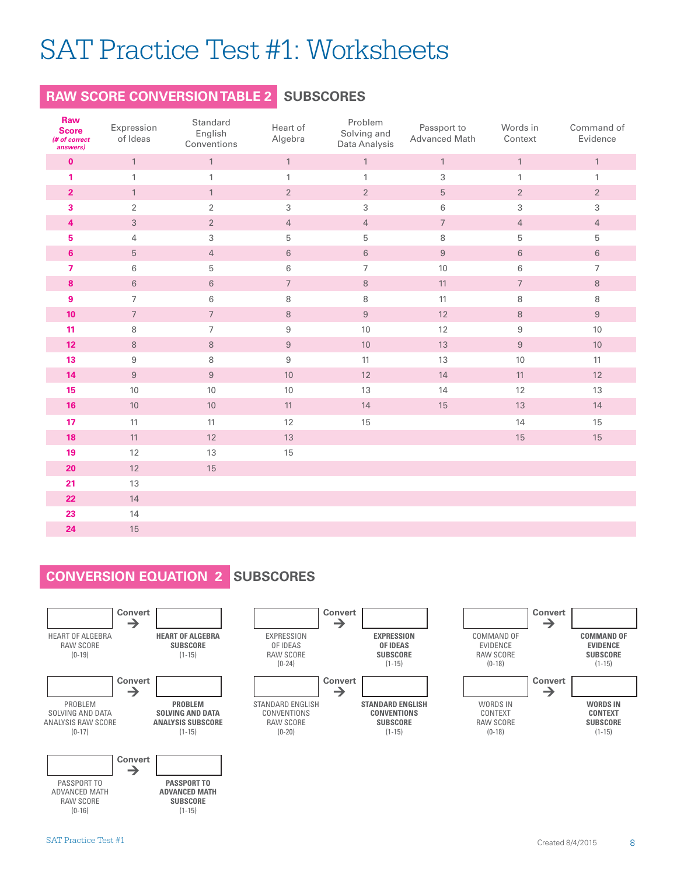#### **RAW SCORE CONVERSION TABLE 2 SUBSCORES**

| Raw<br><b>Score</b><br>(# of correct<br>answers) | Expression<br>of Ideas | Standard<br>English<br>Conventions | Heart of<br>Algebra | Problem<br>Solving and<br>Data Analysis | Passport to<br>Advanced Math | Words in<br>Context | Command of<br>Evidence |
|--------------------------------------------------|------------------------|------------------------------------|---------------------|-----------------------------------------|------------------------------|---------------------|------------------------|
| $\pmb{0}$                                        | $\mathbf{1}$           | $\mathbf{1}$                       | $\mathbf{1}$        | $\mathbf{1}$                            | $\mathbbm{1}$                | $\mathbf{1}$        | $\mathbf 1$            |
| 1                                                | $\mathbf{1}$           | $\mathbf{1}$                       | $\mathbf{1}$        | $\mathbf{1}$                            | $\sqrt{3}$                   | $\mathbf{1}$        | $\mathbf{1}$           |
| $\overline{2}$                                   | $\mathbf{1}$           | $\mathbf{1}$                       | $\sqrt{2}$          | $\overline{2}$                          | $\mathbf 5$                  | $\sqrt{2}$          | $\overline{2}$         |
| 3                                                | $\overline{2}$         | $\overline{2}$                     | $\sqrt{3}$          | $\sqrt{3}$                              | $\,6\,$                      | 3                   | $\sqrt{3}$             |
| $\overline{\mathbf{4}}$                          | $\mathfrak{S}$         | $\overline{2}$                     | $\overline{4}$      | $\overline{4}$                          | $\overline{\phantom{a}}$     | $\overline{4}$      | $\overline{4}$         |
| 5                                                | 4                      | $\,$ 3 $\,$                        | $\mathbf 5$         | $\mathbf 5$                             | $\,8\,$                      | 5                   | 5                      |
| 6                                                | $\sqrt{5}$             | $\overline{4}$                     | $\,6\,$             | $\,6\,$                                 | $\boldsymbol{9}$             | $\,6\,$             | $6\,$                  |
| $\overline{ }$                                   | 6                      | 5                                  | 6                   | $\overline{7}$                          | 10                           | $\,6$               | $\boldsymbol{7}$       |
| 8                                                | $\,6\,$                | $\,6\,$                            | $\sqrt{ }$          | $\,8\,$                                 | 11                           | $\overline{7}$      | $\,8\,$                |
| 9                                                | $\overline{7}$         | 6                                  | $\,8\,$             | $\,8\,$                                 | 11                           | 8                   | 8                      |
| 10                                               | $\overline{7}$         | $\overline{7}$                     | $\,8\,$             | $\,9$                                   | 12                           | $\,8\,$             | $9\,$                  |
| 11                                               | 8                      | $\overline{7}$                     | $\boldsymbol{9}$    | $10$                                    | 12                           | $\boldsymbol{9}$    | 10                     |
| 12 <sub>2</sub>                                  | $\,8\,$                | $\,8\,$                            | $\boldsymbol{9}$    | $10$                                    | 13                           | $\boldsymbol{9}$    | $10$                   |
| 13                                               | $\boldsymbol{9}$       | $\,8\,$                            | $\boldsymbol{9}$    | 11                                      | 13                           | $10\,$              | 11                     |
| 14                                               | $\boldsymbol{9}$       | $\boldsymbol{9}$                   | $10$                | 12                                      | 14                           | 11                  | 12                     |
| 15                                               | 10                     | 10                                 | 10                  | 13                                      | 14                           | 12                  | 13                     |
| 16                                               | $10$                   | $10\,$                             | 11                  | 14                                      | 15                           | 13                  | 14                     |
| 17                                               | 11                     | 11                                 | 12                  | 15                                      |                              | 14                  | 15                     |
| 18                                               | 11                     | 12                                 | 13                  |                                         |                              | 15                  | 15                     |
| 19                                               | 12                     | 13                                 | 15                  |                                         |                              |                     |                        |
| 20                                               | 12                     | 15                                 |                     |                                         |                              |                     |                        |
| 21                                               | 13                     |                                    |                     |                                         |                              |                     |                        |
| 22                                               | 14                     |                                    |                     |                                         |                              |                     |                        |
| 23                                               | 14                     |                                    |                     |                                         |                              |                     |                        |
| 24                                               | 15                     |                                    |                     |                                         |                              |                     |                        |

#### **CONVERSION EQUATION 2 SUBSCORES**